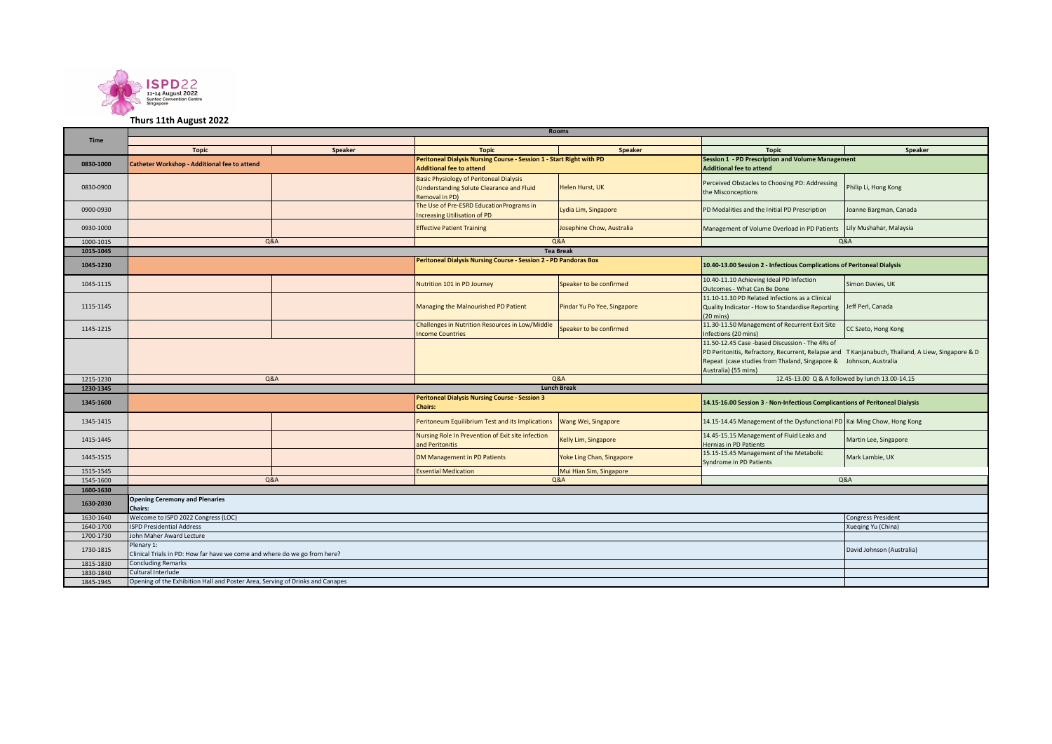

## **Thurs 11th August 2022**

|             | <b>Rooms</b>                                                                            |                           |                                                                                                               |                             |                                                                                                                                                                                                                                                   |                         |  |  |
|-------------|-----------------------------------------------------------------------------------------|---------------------------|---------------------------------------------------------------------------------------------------------------|-----------------------------|---------------------------------------------------------------------------------------------------------------------------------------------------------------------------------------------------------------------------------------------------|-------------------------|--|--|
| <b>Time</b> |                                                                                         |                           |                                                                                                               |                             |                                                                                                                                                                                                                                                   |                         |  |  |
|             | <b>Topic</b>                                                                            | Speaker                   | <b>Topic</b>                                                                                                  | <b>Speaker</b>              | <b>Topic</b>                                                                                                                                                                                                                                      | Speaker                 |  |  |
| 0830-1000   | Catheter Workshop - Additional fee to attend                                            |                           | Peritoneal Dialysis Nursing Course - Session 1 - Start Right with PD<br><b>Additional fee to attend</b>       |                             | <b>Session 1 - PD Prescription and Volume Management</b><br><b>Additional fee to attend</b>                                                                                                                                                       |                         |  |  |
| 0830-0900   |                                                                                         |                           | <b>Basic Physiology of Peritoneal Dialysis</b><br>(Understanding Solute Clearance and Fluid<br>Removal in PD) | Helen Hurst, UK             | Perceived Obstacles to Choosing PD: Addressing<br>the Misconceptions                                                                                                                                                                              | Philip Li, Hong Kong    |  |  |
| 0900-0930   |                                                                                         |                           | The Use of Pre-ESRD EducationPrograms in<br><b>Increasing Utilisation of PD</b>                               | Lydia Lim, Singapore        | PD Modalities and the Initial PD Prescription                                                                                                                                                                                                     | Joanne Bargman, Canada  |  |  |
| 0930-1000   |                                                                                         |                           | <b>Effective Patient Training</b>                                                                             | Josephine Chow, Australia   | Management of Volume Overload in PD Patients                                                                                                                                                                                                      | Lily Mushahar, Malaysia |  |  |
| 1000-1015   | Q&A                                                                                     |                           |                                                                                                               | <b>Q&amp;A</b>              | Q&A                                                                                                                                                                                                                                               |                         |  |  |
| 1015-1045   |                                                                                         |                           |                                                                                                               | <b>Tea Break</b>            |                                                                                                                                                                                                                                                   |                         |  |  |
| 1045-1230   |                                                                                         |                           | <b>Peritoneal Dialysis Nursing Course - Session 2 - PD Pandoras Box</b>                                       |                             | 10.40-13.00 Session 2 - Infectious Complications of Peritoneal Dialysis                                                                                                                                                                           |                         |  |  |
| 1045-1115   |                                                                                         |                           | Nutrition 101 in PD Journey                                                                                   | Speaker to be confirmed     | 10.40-11.10 Achieving Ideal PD Infection<br>Outcomes - What Can Be Done                                                                                                                                                                           | Simon Davies, UK        |  |  |
| 1115-1145   |                                                                                         |                           | Managing the Malnourished PD Patient                                                                          | Pindar Yu Po Yee, Singapore | 11.10-11.30 PD Related Infections as a Clinical<br>Quality Indicator - How to Standardise Reporting<br>$(20 \text{ mins})$                                                                                                                        | Jeff Perl, Canada       |  |  |
| 1145-1215   |                                                                                         |                           | Challenges in Nutrition Resources in Low/Middle<br><b>Income Countries</b>                                    | Speaker to be confirmed     | 11.30-11.50 Management of Recurrent Exit Site<br>Infections (20 mins)                                                                                                                                                                             | CC Szeto, Hong Kong     |  |  |
|             |                                                                                         |                           |                                                                                                               |                             | 11.50-12.45 Case -based Discussion - The 4Rs of<br>PD Peritonitis, Refractory, Recurrent, Relapse and T Kanjanabuch, Thailand, A Liew, Singapore & D<br>Repeat (case studies from Thaland, Singapore & Johnson, Australia<br>Australia) (55 mins) |                         |  |  |
| 1215-1230   | <b>Q&amp;A</b>                                                                          |                           | <b>Q&amp;A</b>                                                                                                |                             | 12.45-13.00 Q & A followed by lunch 13.00-14.15                                                                                                                                                                                                   |                         |  |  |
| 1230-1345   | <b>Lunch Break</b>                                                                      |                           |                                                                                                               |                             |                                                                                                                                                                                                                                                   |                         |  |  |
| 1345-1600   |                                                                                         |                           | Peritoneal Dialysis Nursing Course - Session 3<br><b>Chairs:</b>                                              |                             | 14.15-16.00 Session 3 - Non-Infectious Complicantions of Peritoneal Dialysis                                                                                                                                                                      |                         |  |  |
| 1345-1415   |                                                                                         |                           | Peritoneum Equilibrium Test and its Implications                                                              | Wang Wei, Singapore         | 14.15-14.45 Management of the Dysfunctional PD Kai Ming Chow, Hong Kong                                                                                                                                                                           |                         |  |  |
| 1415-1445   |                                                                                         |                           | Nursing Role In Prevention of Exit site infection<br>and Peritonitis                                          | Kelly Lim, Singapore        | 14.45-15.15 Management of Fluid Leaks and<br>Hernias in PD Patients                                                                                                                                                                               | Martin Lee, Singapore   |  |  |
| 1445-1515   |                                                                                         |                           | DM Management in PD Patients                                                                                  | Yoke Ling Chan, Singapore   | 15.15-15.45 Management of the Metabolic<br>Syndrome in PD Patients                                                                                                                                                                                | Mark Lambie, UK         |  |  |
| 1515-1545   |                                                                                         |                           | Mui Hian Sim, Singapore<br><b>Essential Medication</b>                                                        |                             |                                                                                                                                                                                                                                                   |                         |  |  |
| 1545-1600   | <b>Q&amp;A</b><br>Q&A                                                                   |                           |                                                                                                               |                             |                                                                                                                                                                                                                                                   | Q&A                     |  |  |
| 1600-1630   |                                                                                         |                           |                                                                                                               |                             |                                                                                                                                                                                                                                                   |                         |  |  |
| 1630-2030   | <b>Opening Ceremony and Plenaries</b><br><b>Chairs:</b>                                 |                           |                                                                                                               |                             |                                                                                                                                                                                                                                                   |                         |  |  |
| 1630-1640   | Welcome to ISPD 2022 Congress (LOC)                                                     | <b>Congress President</b> |                                                                                                               |                             |                                                                                                                                                                                                                                                   |                         |  |  |
| 1640-1700   | <b>ISPD Presidential Address</b>                                                        | Xueqing Yu (China)        |                                                                                                               |                             |                                                                                                                                                                                                                                                   |                         |  |  |
| 1700-1730   | John Maher Award Lecture                                                                |                           |                                                                                                               |                             |                                                                                                                                                                                                                                                   |                         |  |  |
| 1730-1815   | Plenary 1:<br>Clinical Trials in PD: How far have we come and where do we go from here? | David Johnson (Australia) |                                                                                                               |                             |                                                                                                                                                                                                                                                   |                         |  |  |
| 1815-1830   | <b>Concluding Remarks</b>                                                               |                           |                                                                                                               |                             |                                                                                                                                                                                                                                                   |                         |  |  |
| 1830-1840   | Cultural Interlude                                                                      |                           |                                                                                                               |                             |                                                                                                                                                                                                                                                   |                         |  |  |
| 1845-1945   | Opening of the Exhibition Hall and Poster Area, Serving of Drinks and Canapes           |                           |                                                                                                               |                             |                                                                                                                                                                                                                                                   |                         |  |  |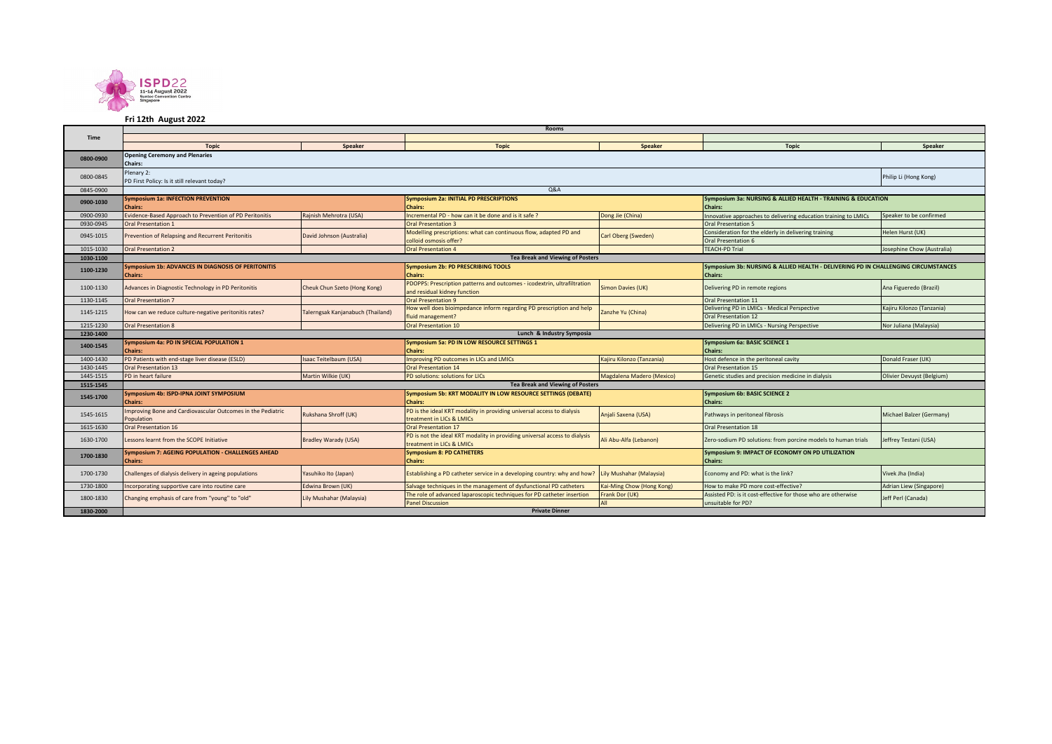

## **Fri 12th August 2022**

|             | <b>Rooms</b>                                                               |                                   |                                                                                                                |                           |                                                                                                      |                            |  |  |
|-------------|----------------------------------------------------------------------------|-----------------------------------|----------------------------------------------------------------------------------------------------------------|---------------------------|------------------------------------------------------------------------------------------------------|----------------------------|--|--|
| <b>Time</b> |                                                                            |                                   |                                                                                                                |                           |                                                                                                      |                            |  |  |
|             | <b>Topic</b>                                                               | <b>Speaker</b>                    | <b>Topic</b>                                                                                                   | <b>Speaker</b>            | <b>Topic</b>                                                                                         | Speaker                    |  |  |
| 0800-0900   | <b>Opening Ceremony and Plenaries</b><br><b>Chairs:</b>                    |                                   |                                                                                                                |                           |                                                                                                      |                            |  |  |
| 0800-0845   | Plenary 2:<br>PD First Policy: Is it still relevant today?                 |                                   |                                                                                                                |                           |                                                                                                      | Philip Li (Hong Kong)      |  |  |
| 0845-0900   |                                                                            |                                   | <b>Q&amp;A</b>                                                                                                 |                           |                                                                                                      |                            |  |  |
| 0900-1030   | <b>Symposium 1a: INFECTION PREVENTION</b><br><b>Chairs:</b>                |                                   | <b>Symposium 2a: INITIAL PD PRESCRIPTIONS</b><br><b>Chairs:</b>                                                |                           | Symposium 3a: NURSING & ALLIED HEALTH - TRAINING & EDUCATION<br><b>Chairs:</b>                       |                            |  |  |
| 0900-0930   | Evidence-Based Approach to Prevention of PD Peritonitis                    | Rajnish Mehrotra (USA)            | Incremental PD - how can it be done and is it safe ?                                                           | Dong Jie (China)          | Innovative approaches to delivering education training to LMICs                                      | Speaker to be confirmed    |  |  |
| 0930-0945   | <b>Oral Presentation 1</b>                                                 |                                   | <b>Oral Presentation 3</b>                                                                                     |                           | <b>Oral Presentation 5</b>                                                                           |                            |  |  |
| 0945-1015   | Prevention of Relapsing and Recurrent Peritonitis                          | David Johnson (Australia)         | Modelling prescriptions: what can continuous flow, adapted PD and<br>colloid osmosis offer?                    | Carl Oberg (Sweden)       | Consideration for the elderly in delivering training<br>Oral Presentation 6                          | Helen Hurst (UK)           |  |  |
| 1015-1030   | <b>Oral Presentation 2</b>                                                 |                                   | <b>Oral Presentation 4</b>                                                                                     |                           | <b>TEACH-PD Trial</b>                                                                                | Josephine Chow (Australia) |  |  |
| 1030-1100   |                                                                            |                                   | <b>Tea Break and Viewing of Posters</b>                                                                        |                           |                                                                                                      |                            |  |  |
| 1100-1230   | Symposium 1b: ADVANCES IN DIAGNOSIS OF PERITONITIS<br><b>Chairs:</b>       |                                   | <b>Symposium 2b: PD PRESCRIBING TOOLS</b><br><b>Chairs:</b>                                                    |                           | Symposium 3b: NURSING & ALLIED HEALTH - DELIVERING PD IN CHALLENGING CIRCUMSTANCES<br><b>Chairs:</b> |                            |  |  |
| 1100-1130   | Advances in Diagnostic Technology in PD Peritonitis                        | Cheuk Chun Szeto (Hong Kong)      | PDOPPS: Prescription patterns and outcomes - icodextrin, ultrafiltration<br>and residual kidney function       | Simon Davies (UK)         | Delivering PD in remote regions                                                                      | Ana Figueredo (Brazil)     |  |  |
| 1130-1145   | <b>Oral Presentation 7</b>                                                 |                                   | <b>Oral Presentation 9</b>                                                                                     |                           | Oral Presentation 11                                                                                 |                            |  |  |
| 1145-1215   | How can we reduce culture-negative peritonitis rates?                      | Talerngsak Kanjanabuch (Thailand) | How well does bioimpedance inform regarding PD prescription and help<br>Zanzhe Yu (China)<br>fluid management? |                           | Delivering PD in LMICs - Medical Perspective<br>Oral Presentation 12                                 | Kajiru Kilonzo (Tanzania)  |  |  |
| 1215-1230   | <b>Oral Presentation 8</b>                                                 |                                   | <b>Oral Presentation 10</b>                                                                                    |                           | Delivering PD in LMICs - Nursing Perspective                                                         | Nor Juliana (Malaysia)     |  |  |
| 1230-1400   | Lunch & Industry Symposia                                                  |                                   |                                                                                                                |                           |                                                                                                      |                            |  |  |
| 1400-1545   | Symposium 4a: PD IN SPECIAL POPULATION 1<br><b>Chairs:</b>                 |                                   | Symposium 5a: PD IN LOW RESOURCE SETTINGS 1<br><b>Chairs:</b>                                                  |                           | Symposium 6a: BASIC SCIENCE 1<br><b>Chairs:</b>                                                      |                            |  |  |
| 1400-1430   | PD Patients with end-stage liver disease (ESLD)                            | Isaac Teitelbaum (USA)            | Improving PD outcomes in LICs and LMICs                                                                        | Kajiru Kilonzo (Tanzania) | Host defence in the peritoneal cavity                                                                | Donald Fraser (UK)         |  |  |
| 1430-1445   | <b>Oral Presentation 13</b>                                                |                                   | <b>Oral Presentation 14</b>                                                                                    |                           | <b>Oral Presentation 15</b>                                                                          |                            |  |  |
| 1445-1515   | PD in heart failure                                                        | Martin Wilkie (UK)                | PD solutions: solutions for LICs                                                                               | Magdalena Madero (Mexico) | Genetic studies and precision medicine in dialysis                                                   | Olivier Devuyst (Belgium)  |  |  |
| 1515-1545   |                                                                            |                                   | <b>Tea Break and Viewing of Posters</b>                                                                        |                           |                                                                                                      |                            |  |  |
| 1545-1700   | Symposium 4b: ISPD-IPNA JOINT SYMPOSIUM<br><b>Chairs:</b>                  |                                   | <b>Symposium 5b: KRT MODALITY IN LOW RESOURCE SETTINGS (DEBATE)</b><br><b>Chairs:</b>                          |                           | <b>Symposium 6b: BASIC SCIENCE 2</b><br><b>Chairs:</b>                                               |                            |  |  |
| 1545-1615   | Improving Bone and Cardiovascular Outcomes in the Pediatric<br>Population  | Rukshana Shroff (UK)              | PD is the ideal KRT modality in providing universal access to dialysis<br>treatment in LICs & LMICs            | Anjali Saxena (USA)       | Pathways in peritoneal fibrosis                                                                      | Michael Balzer (Germany)   |  |  |
| 1615-1630   | <b>Oral Presentation 16</b>                                                |                                   | <b>Oral Presentation 17</b>                                                                                    |                           | Oral Presentation 18                                                                                 |                            |  |  |
| 1630-1700   | Lessons learnt from the SCOPE Initiative                                   | <b>Bradley Warady (USA)</b>       | PD is not the ideal KRT modality in providing universal access to dialysis<br>treatment in LICs & LMICs        | Ali Abu-Alfa (Lebanon)    | Zero-sodium PD solutions: from porcine models to human trials                                        | leffrey Testani (USA)      |  |  |
| 1700-1830   | <b>Symposium 7: AGEING POPULATION - CHALLENGES AHEAD</b><br><b>Chairs:</b> |                                   | <b>Symposium 8: PD CATHETERS</b><br><b>Chairs:</b>                                                             |                           | Symposium 9: IMPACT OF ECONOMY ON PD UTILIZATION<br><b>Chairs:</b>                                   |                            |  |  |
| 1700-1730   | Challenges of dialysis delivery in ageing populations                      | Yasuhiko Ito (Japan)              | Establishing a PD catheter service in a developing country: why and how?                                       | Lily Mushahar (Malaysia)  | Economy and PD: what is the link?                                                                    | Vivek Jha (India)          |  |  |
| 1730-1800   | Incorporating supportive care into routine care                            | Edwina Brown (UK)                 | Salvage techniques in the management of dysfunctional PD catheters                                             | Kai-Ming Chow (Hong Kong) | How to make PD more cost-effective?                                                                  | Adrian Liew (Singapore)    |  |  |
| 1800-1830   | Changing emphasis of care from "young" to "old"                            | Lily Mushahar (Malaysia)          | The role of advanced laparoscopic techniques for PD catheter insertion<br><b>Panel Discussion</b>              | Frank Dor (UK)<br>All     | Assisted PD: is it cost-effective for those who are otherwise<br>unsuitable for PD?                  | Jeff Perl (Canada)         |  |  |
| 1830-2000   | <b>Private Dinner</b>                                                      |                                   |                                                                                                                |                           |                                                                                                      |                            |  |  |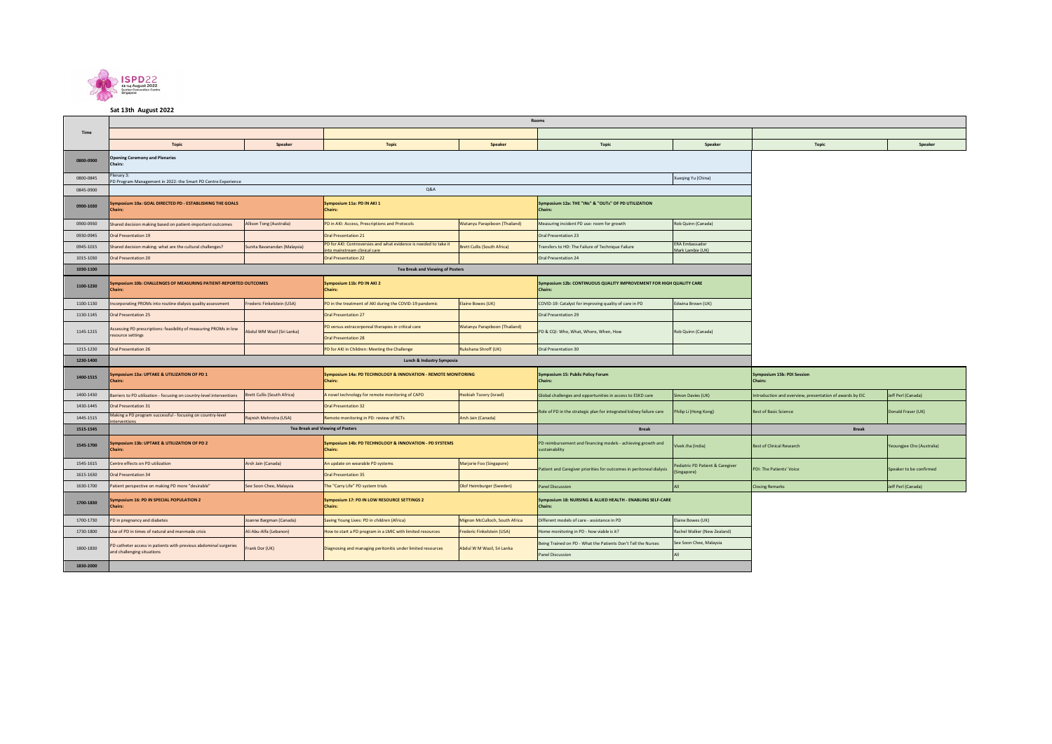

**Sat 13th August 2022** 

|           | Rooms                                                                                          |                              |                                                                                                  |                                    |                                                                                |                                           |                                                          |                           |  |
|-----------|------------------------------------------------------------------------------------------------|------------------------------|--------------------------------------------------------------------------------------------------|------------------------------------|--------------------------------------------------------------------------------|-------------------------------------------|----------------------------------------------------------|---------------------------|--|
| Time      |                                                                                                |                              |                                                                                                  |                                    |                                                                                |                                           |                                                          |                           |  |
|           | <b>Topic</b>                                                                                   | Speaker                      | <b>Topic</b>                                                                                     | Speaker                            | Topic                                                                          | Speaker                                   | <b>Topic</b>                                             | Speaker                   |  |
| 0800-0900 | <b>Opening Ceremony and Plenaries</b><br>Chairs                                                |                              |                                                                                                  |                                    |                                                                                |                                           |                                                          |                           |  |
| 0800-0845 | lenary 3:<br>PD Program Management in 2022: the Smart PD Centre Experience                     |                              |                                                                                                  |                                    |                                                                                | Xueqing Yu (China)                        |                                                          |                           |  |
| 0845-0900 |                                                                                                |                              |                                                                                                  |                                    |                                                                                |                                           |                                                          |                           |  |
| 0900-1030 | Symposium 10a: GOAL DIRECTED PD - ESTABLISHING THE GOALS<br><b>Chairs:</b>                     |                              | Symposium 11a: PD IN AKI 1<br>Chairs:                                                            |                                    | Symposium 12a: THE "INs" & "OUTs" OF PD UTILIZATION<br>Chairs:                 |                                           |                                                          |                           |  |
| 0900-0930 | Shared decision making based on patient-important outcomes                                     | Allison Tong (Australia)     | PD in AKI: Access, Prescriptions and Protocols                                                   | Watanyu Parapiboon (Thailand)      | Measuring incident PD use: room for growth                                     | Rob Quinn (Canada)                        |                                                          |                           |  |
| 0930-0945 | Oral Presentation 19                                                                           |                              | <b>Oral Presentation 21</b>                                                                      |                                    | Oral Presentation 23                                                           |                                           |                                                          |                           |  |
| 0945-1015 | Shared decision making: what are the cultural challenges?                                      | Sunita Bavanandan (Malaysia) | PD for AKI: Controversies and what evidence is needed to take it<br>nto mainstream clinical care | <b>Brett Cullis (South Africa)</b> | Transfers to HD: The Failure of Technique Failure                              | <b>ERA Embassador</b><br>Mark Lambie (UK) |                                                          |                           |  |
| 1015-1030 | Oral Presentation 20                                                                           |                              | <b>Oral Presentation 22</b>                                                                      |                                    | Oral Presentation 24                                                           |                                           |                                                          |                           |  |
| 1030-1100 |                                                                                                |                              | <b>Tea Break and Viewing of Posters</b>                                                          |                                    |                                                                                |                                           |                                                          |                           |  |
| 1100-1230 | Symposium 10b: CHALLENGES OF MEASURING PATIENT-REPORTED OUTCOMES<br>Chairs:                    |                              | Symposium 11b: PD IN AKI 2<br><b>Chairs:</b>                                                     |                                    | Symposium 12b: CONTINUOUS QUALITY IMPROVEMENT FOR HIGH QUALITY CARE<br>Chairs: |                                           |                                                          |                           |  |
| 1100-1130 | Incorporating PROMs into routine dialysis quality assessment                                   | Frederic Finkelstein (USA)   | PD in the treatment of AKI during the COVID-19 pandemic                                          | Elaine Bowes (UK)                  | COVID-19: Catalyst for improving quality of care in PD                         | Edwina Brown (UK)                         |                                                          |                           |  |
| 1130-1145 | Oral Presentation 25                                                                           |                              | <b>Oral Presentation 27</b>                                                                      |                                    | Oral Presentation 29                                                           |                                           |                                                          |                           |  |
| 1145-1215 | Assessing PD prescriptions: feasibility of measuring PROMs in low<br>resource settings         | Abdul WM Wazil (Sri Lanka)   | PD versus extracorporeal therapies in critical care                                              | Watanyu Parapiboon (Thailand)      | PD & CQI: Who, What, Where, When, How                                          | Rob Quinn (Canada)                        |                                                          |                           |  |
|           |                                                                                                |                              | <b>Oral Presentation 28</b>                                                                      |                                    |                                                                                |                                           |                                                          |                           |  |
| 1215-1230 | <b>Oral Presentation 26</b>                                                                    |                              | PD for AKI in Children: Meeting the Challenge                                                    | Rukshana Shroff (UK)               | Oral Presentation 30                                                           |                                           |                                                          |                           |  |
| 1230-1400 | Lunch & Industry Symposia                                                                      |                              |                                                                                                  |                                    |                                                                                |                                           |                                                          |                           |  |
| 1400-1515 | Symposium 13a: UPTAKE & UTILIZATION OF PD 1<br>Chairs:                                         |                              | <b>Symposium 14a: PD TECHNOLOGY &amp; INNOVATION - REMOTE MONITORING</b><br>Chairs:              |                                    | Symposium 15: Public Policy Forum<br>Chairs:                                   |                                           | Symposium 15b: PDI Session<br><b>Chairs:</b>             |                           |  |
| 1400-1430 | Barriers to PD utilization - focusing on country-level interventions                           | Brett Cullis (South Africa)  | A novel technology for remote monitoring of CAPD                                                 | <b>Hezkiah Tsoory (Israel)</b>     | Slobal challenges and opportunities in access to ESKD care                     | Simon Davies (UK)                         | Introduction and overview, presentation of awards by EIC | Jeff Perl (Canada)        |  |
| 1430-1445 | Oral Presentation 31                                                                           |                              | <b>Oral Presentation 32</b>                                                                      |                                    | Role of PD in the strategic plan for integrated kidney failure care            | Philip Li (Hong Kong)                     | <b>Best of Basic Science</b>                             | Donald Fraser (UK)        |  |
| 1445-1515 | Making a PD program successful - focusing on country-level<br>interventions                    | Rajnish Mehrotra (USA)       | Remote monitoring in PD: review of RCTs                                                          | Arsh Jain (Canada)                 |                                                                                |                                           |                                                          |                           |  |
| 1515-1545 |                                                                                                |                              | <b>Tea Break and Viewing of Posters</b>                                                          |                                    | <b>Break</b>                                                                   |                                           | <b>Break</b>                                             |                           |  |
| 1545-1700 | Symposium 13b: UPTAKE & UTILIZATION OF PD 2<br>Chairs:                                         |                              | Symposium 14b: PD TECHNOLOGY & INNOVATION - PD SYSTEMS<br><b>Chairs:</b>                         |                                    | PD reimbursement and financing models - achieving growth and<br>sustainability | Vivek Jha (India)                         | <b>Best of Clinical Research</b>                         | Yeoungjee Cho (Australia) |  |
| 1545-1615 | Centre effects on PD utilization                                                               | Arsh Jain (Canada)           | An update on wearable PD systems                                                                 | Marjorie Foo (Singapore)           |                                                                                | Pediatric PD Patient & Caregiver          | <b>PDI: The Patients' Voice</b>                          | Speaker to be confirmed   |  |
| 1615-1630 | <b>Oral Presentation 34</b>                                                                    |                              | <b>Oral Presentation 35</b>                                                                      |                                    | atient and Caregiver priorities for outcomes in peritoneal dialysis            | Singapore)                                |                                                          |                           |  |
| 1630-1700 | Patient perspective on making PD more "desirable"                                              | See Soon Chee, Malaysia      | The "Carry Life" PD system trials                                                                | Olof Heimburger (Sweden)           | anel Discussion                                                                |                                           | <b>Iosing Remarks</b>                                    | Jeff Perl (Canada)        |  |
| 1700-1830 | Symposium 16: PD IN SPECIAL POPULATION 2<br><b>Chairs</b>                                      |                              | Symposium 17: PD IN LOW RESOURCE SETTINGS 2<br>Chairs:                                           |                                    | Symposium 18: NURSING & ALLIED HEALTH - ENABLING SELF-CARE<br>Chairs:          |                                           |                                                          |                           |  |
| 1700-1730 | PD in pregnancy and diabetes                                                                   | Joanne Bargman (Canada)      | Saving Young Lives: PD in children (Africa)                                                      | Mignon McCulloch, South Africa     | Different models of care - assistance in PD                                    | Elaine Bowes (UK)                         |                                                          |                           |  |
| 1730-1800 | Use of PD in times of natural and manmade crisis                                               | Ali Abu-Alfa (Lebanon)       | How to start a PD program in a LMIC with limited resources                                       | Frederic Finkelstein (USA)         | Home monitoring in PD - how viable is it?                                      | Rachel Walker (New Zealand)               |                                                          |                           |  |
| 1800-1830 | PD catheter access in patients with previous abdominal surgeries<br>and challenging situations | Frank Dor (UK)               | Diagnosing and managing peritonitis under limited resources                                      | Abdul W M Wazil, Sri Lanka         | Being Trained on PD - What the Patients Don't Tell the Nurses                  | See Soon Chee, Malaysia                   |                                                          |                           |  |
|           |                                                                                                |                              |                                                                                                  |                                    | <b>Panel Discussion</b>                                                        | $\Delta$ II                               |                                                          |                           |  |
| 1830-2000 |                                                                                                |                              |                                                                                                  |                                    |                                                                                |                                           |                                                          |                           |  |